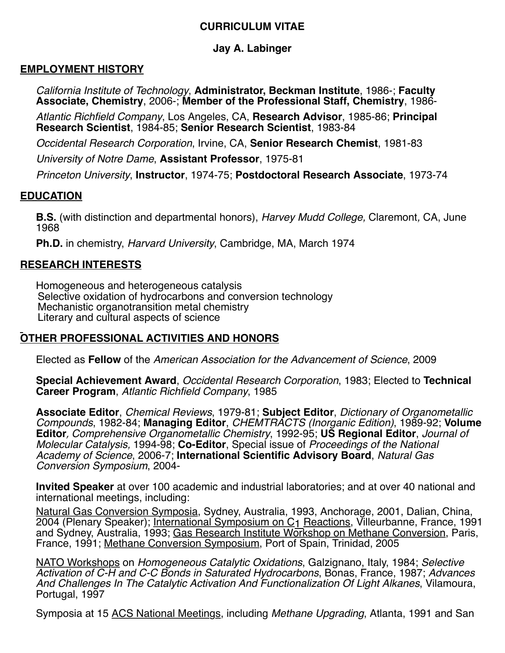# **CURRICULUM VITAE**

## **Jay A. Labinger**

## **EMPLOYMENT HISTORY**

*California Institute of Technology*, **Administrator, Beckman Institute**, 1986‑; **Faculty Associate, Chemistry**, 2006-; **Member of the Professional Staff, Chemistry**, 1986‑

*Atlantic Richfield Company*, Los Angeles, CA, **Research Advisor**, 1985-86; **Principal Research Scientist**, 1984-85; **Senior Research Scientist**, 1983-84

*Occidental Research Corporation*, Irvine, CA, **Senior Research Chemist**, 1981-83

*University of Notre Dame*, **Assistant Professor**, 1975-81

*Princeton University*, **Instructor**, 1974-75; **Postdoctoral Research Associate**, 1973-74

#### **EDUCATION**

**B.S.** (with distinction and departmental honors), *Harvey Mudd College,* Claremont*,* CA, June 1968

**Ph.D.** in chemistry, *Harvard University*, Cambridge, MA, March 1974

# **RESEARCH INTERESTS**

Homogeneous and heterogeneous catalysis Selective oxidation of hydrocarbons and conversion technology Mechanistic organotransition metal chemistry Literary and cultural aspects of science

#### **OTHER PROFESSIONAL ACTIVITIES AND HONORS**

Elected as **Fellow** of the *American Association for the Advancement of Science*, 2009

**Special Achievement Award**, *Occidental Research Corporation*, 1983; Elected to **Technical Career Program**, *Atlantic Richfield Company*, 1985

**Associate Editor**, *Chemical Reviews*, 1979-81; **Subject Editor**, *Dictionary of Organometallic Compounds*, 1982-84; **Managing Editor**, *CHEMTRACTS (Inorganic Edition)*, 1989-92; **Volume Editor**, *Comprehensive Organometallic Chemistry*, 1992-95; **US Regional Editor**, *Journal of Molecular Catalysis,* 1994-98; **Co-Editor**, Special issue of *Proceedings of the National Academy of Science*, 2006-7; **International Scientific Advisory Board**, *Natural Gas Conversion Symposium*, 2004-

**Invited Speaker** at over 100 academic and industrial laboratories; and at over 40 national and international meetings, including:

Natural Gas Conversion Symposia, Sydney, Australia, 1993, Anchorage, 2001, Dalian, China, 2004 (Plenary Speaker); International Symposium on C1 Reactions, Villeurbanne, France, 1991 and Sydney, Australia, 1993; Gas Research Institute Workshop on Methane Conversion, Paris, France, 1991; Methane Conversion Symposium, Port of Spain, Trinidad, 2005

NATO Workshops on *Homogeneous Catalytic Oxidations*, Galzignano, Italy, 1984; *Selective Activation of C*‑*H and C*‑*C Bonds in Saturated Hydrocarbons*, Bonas, France, 1987; *Advances And Challenges In The Catalytic Activation And Functionalization Of Light Alkanes*, Vilamoura, Portugal, 1997

Symposia at 15 ACS National Meetings, including *Methane Upgrading*, Atlanta, 1991 and San